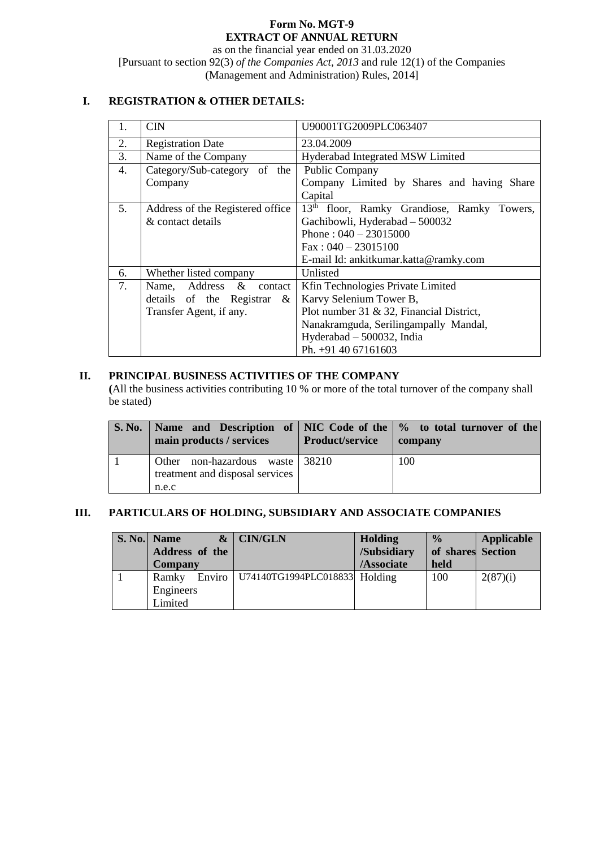## **Form No. MGT-9 EXTRACT OF ANNUAL RETURN**

as on the financial year ended on 31.03.2020 [Pursuant to section 92(3) *of the Companies Act, 2013* and rule 12(1) of the Companies (Management and Administration) Rules, 2014]

## **I. REGISTRATION & OTHER DETAILS:**

| 1. | <b>CIN</b>                       | U90001TG2009PLC063407                                  |  |  |  |
|----|----------------------------------|--------------------------------------------------------|--|--|--|
| 2. | <b>Registration Date</b>         | 23.04.2009                                             |  |  |  |
| 3. | Name of the Company              | Hyderabad Integrated MSW Limited                       |  |  |  |
| 4. | Category/Sub-category of the     | <b>Public Company</b>                                  |  |  |  |
|    | Company                          | Company Limited by Shares and having Share             |  |  |  |
|    |                                  | Capital                                                |  |  |  |
| 5. | Address of the Registered office | 13 <sup>th</sup> floor, Ramky Grandiose, Ramky Towers, |  |  |  |
|    | & contact details                | Gachibowli, Hyderabad - 500032                         |  |  |  |
|    |                                  | Phone: $040 - 23015000$                                |  |  |  |
|    |                                  | $Fax: 040 - 23015100$                                  |  |  |  |
|    |                                  | E-mail Id: ankitkumar.katta@ramky.com                  |  |  |  |
| 6. | Whether listed company           | Unlisted                                               |  |  |  |
| 7. | Name, Address & contact          | Kfin Technologies Private Limited                      |  |  |  |
|    | details of the Registrar $\&$    | Karvy Selenium Tower B,                                |  |  |  |
|    | Transfer Agent, if any.          | Plot number 31 $\&$ 32, Financial District,            |  |  |  |
|    |                                  | Nanakramguda, Serilingampally Mandal,                  |  |  |  |
|    |                                  | Hyderabad - 500032, India                              |  |  |  |
|    |                                  | Ph. +91 40 67161603                                    |  |  |  |

## **II. PRINCIPAL BUSINESS ACTIVITIES OF THE COMPANY**

**(**All the business activities contributing 10 % or more of the total turnover of the company shall be stated)

| S. No.   Name and Description of   NIC Code of the   % to total turnover of the<br>main products / services | Product/service | company |
|-------------------------------------------------------------------------------------------------------------|-----------------|---------|
| Other non-hazardous waste 38210<br>treatment and disposal services                                          |                 | 100     |
| n.e.c                                                                                                       |                 |         |

# **III. PARTICULARS OF HOLDING, SUBSIDIARY AND ASSOCIATE COMPANIES**

| S. No. Name<br>Address of the<br><b>Company</b> |        | $\&$ CIN/GLN                  | Holding<br>/Subsidiary<br>/Associate | $\frac{0}{0}$<br>of shares Section<br>held | Applicable |
|-------------------------------------------------|--------|-------------------------------|--------------------------------------|--------------------------------------------|------------|
| Ramky                                           | Enviro | U74140TG1994PLC018833 Holding |                                      | 100                                        | 2(87)(i)   |
| Engineers                                       |        |                               |                                      |                                            |            |
| Limited                                         |        |                               |                                      |                                            |            |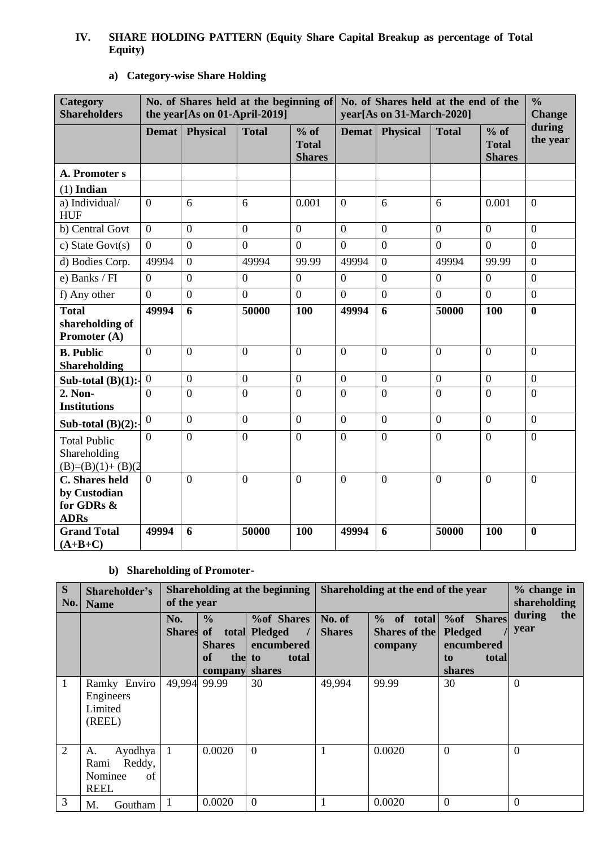## **IV. SHARE HOLDING PATTERN (Equity Share Capital Breakup as percentage of Total Equity)**

| Category<br><b>Shareholders</b>                                    | No. of Shares held at the beginning of<br>the year[As on 01-April-2019] |                  |                |                                       | No. of Shares held at the end of the<br>year[As on 31-March-2020] |                 |                |                                         | $\frac{0}{0}$<br><b>Change</b> |
|--------------------------------------------------------------------|-------------------------------------------------------------------------|------------------|----------------|---------------------------------------|-------------------------------------------------------------------|-----------------|----------------|-----------------------------------------|--------------------------------|
|                                                                    | <b>Demat</b>                                                            | <b>Physical</b>  | <b>Total</b>   | % of<br><b>Total</b><br><b>Shares</b> | <b>Demat</b>                                                      | <b>Physical</b> | <b>Total</b>   | $%$ of<br><b>Total</b><br><b>Shares</b> | during<br>the year             |
| A. Promoter s                                                      |                                                                         |                  |                |                                       |                                                                   |                 |                |                                         |                                |
| $(1)$ Indian                                                       |                                                                         |                  |                |                                       |                                                                   |                 |                |                                         |                                |
| a) Individual/<br><b>HUF</b>                                       | $\Omega$                                                                | 6                | 6              | 0.001                                 | $\overline{0}$                                                    | 6               | 6              | 0.001                                   | $\overline{0}$                 |
| b) Central Govt                                                    | $\overline{0}$                                                          | $\boldsymbol{0}$ | $\overline{0}$ | $\mathbf{0}$                          | $\theta$                                                          | $\overline{0}$  | $\overline{0}$ | $\overline{0}$                          | $\overline{0}$                 |
| c) State Govt $(s)$                                                | $\theta$                                                                | $\overline{0}$   | $\overline{0}$ | $\overline{0}$                        | $\theta$                                                          | $\overline{0}$  | $\overline{0}$ | $\overline{0}$                          | $\overline{0}$                 |
| d) Bodies Corp.                                                    | 49994                                                                   | $\overline{0}$   | 49994          | 99.99                                 | 49994                                                             | $\overline{0}$  | 49994          | 99.99                                   | $\overline{0}$                 |
| e) Banks / FI                                                      | $\overline{0}$                                                          | $\boldsymbol{0}$ | $\overline{0}$ | $\overline{0}$                        | $\theta$                                                          | $\overline{0}$  | $\overline{0}$ | $\mathbf{0}$                            | $\boldsymbol{0}$               |
| f) Any other                                                       | $\overline{0}$                                                          | $\overline{0}$   | $\overline{0}$ | $\overline{0}$                        | $\overline{0}$                                                    | $\overline{0}$  | $\overline{0}$ | $\overline{0}$                          | $\overline{0}$                 |
| <b>Total</b>                                                       | 49994                                                                   | 6                | 50000          | 100                                   | 49994                                                             | 6               | 50000          | <b>100</b>                              | $\bf{0}$                       |
| shareholding of<br>Promoter (A)                                    |                                                                         |                  |                |                                       |                                                                   |                 |                |                                         |                                |
| <b>B.</b> Public<br><b>Shareholding</b>                            | $\theta$                                                                | $\overline{0}$   | $\overline{0}$ | $\mathbf{0}$                          | $\overline{0}$                                                    | $\overline{0}$  | $\overline{0}$ | $\theta$                                | $\overline{0}$                 |
| Sub-total $(B)(1)$ :-                                              | $\overline{0}$                                                          | $\overline{0}$   | $\overline{0}$ | $\overline{0}$                        | $\overline{0}$                                                    | $\overline{0}$  | $\overline{0}$ | $\overline{0}$                          | $\Omega$                       |
| 2. Non-<br><b>Institutions</b>                                     | $\Omega$                                                                | $\overline{0}$   | $\overline{0}$ | $\theta$                              | $\theta$                                                          | $\theta$        | $\overline{0}$ | $\overline{0}$                          | $\Omega$                       |
| Sub-total $(B)(2)$ :                                               | $\theta$                                                                | $\overline{0}$   | $\overline{0}$ | $\theta$                              | $\overline{0}$                                                    | $\overline{0}$  | $\overline{0}$ | $\overline{0}$                          | $\overline{0}$                 |
| <b>Total Public</b><br>Shareholding<br>$(B)=(B)(1)+(B)(2)$         | $\Omega$                                                                | $\overline{0}$   | $\overline{0}$ | $\theta$                              | $\Omega$                                                          | $\overline{0}$  | $\overline{0}$ | $\theta$                                | $\theta$                       |
| <b>C.</b> Shares held<br>by Custodian<br>for GDRs &<br><b>ADRs</b> | $\theta$                                                                | $\overline{0}$   | $\overline{0}$ | $\Omega$                              | $\overline{0}$                                                    | $\overline{0}$  | $\overline{0}$ | $\overline{0}$                          | $\overline{0}$                 |
| <b>Grand Total</b><br>$(A+B+C)$                                    | 49994                                                                   | 6                | 50000          | 100                                   | 49994                                                             | 6               | 50000          | 100                                     | $\mathbf{0}$                   |

# **a) Category-wise Share Holding**

# **b) Shareholding of Promoter-**

| S<br>No.       | Shareholder's<br><b>Name</b>                                    | Shareholding at the beginning<br>of the year |                                                                              |                                                                                   | Shareholding at the end of the year |                                                          |                                                                            | $%$ change in<br>shareholding |
|----------------|-----------------------------------------------------------------|----------------------------------------------|------------------------------------------------------------------------------|-----------------------------------------------------------------------------------|-------------------------------------|----------------------------------------------------------|----------------------------------------------------------------------------|-------------------------------|
|                |                                                                 | No.<br><b>Shares</b>                         | $\frac{0}{0}$<br>of<br>total<br><b>Shares</b><br><b>of</b><br>the<br>company | <b>%of Shares</b><br><b>Pledged</b><br>encumbered<br>total<br>to<br><b>shares</b> | No. of<br><b>Shares</b>             | $\frac{0}{0}$<br>total<br>of<br>Shares of the<br>company | %of Shares<br><b>Pledged</b><br>encumbered<br>total<br>to<br><b>shares</b> | during<br>the<br>year         |
|                | Ramky Enviro<br>Engineers<br>Limited<br>(REEL)                  | 49,994                                       | 99.99                                                                        | 30                                                                                | 49,994                              | 99.99                                                    | 30                                                                         | $\overline{0}$                |
| $\overline{2}$ | Ayodhya<br>A.<br>Reddy,<br>Rami<br>Nominee<br>of<br><b>REEL</b> | 1                                            | 0.0020                                                                       | $\theta$                                                                          | 1                                   | 0.0020                                                   | $\overline{0}$                                                             | $\overline{0}$                |
| 3              | M.<br>Goutham                                                   |                                              | 0.0020                                                                       | $\theta$                                                                          |                                     | 0.0020                                                   | $\overline{0}$                                                             | $\overline{0}$                |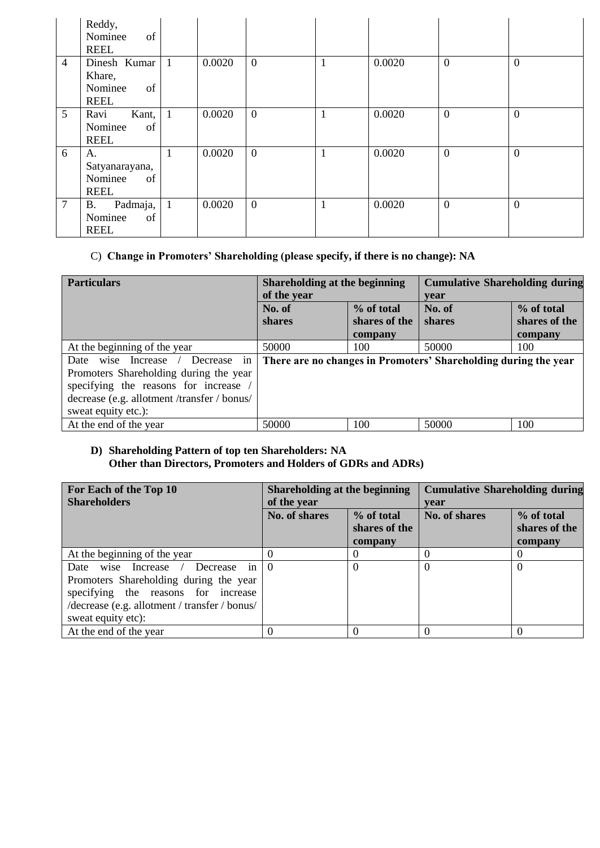|                 | Reddy,<br>of<br>Nominee<br><b>REEL</b>                 |                |        |              |   |        |                  |                  |
|-----------------|--------------------------------------------------------|----------------|--------|--------------|---|--------|------------------|------------------|
| $\overline{4}$  | Dinesh Kumar<br>Khare,<br>Nominee<br>of<br><b>REEL</b> | $\mathbf{1}$   | 0.0020 | $\mathbf{0}$ | 1 | 0.0020 | $\boldsymbol{0}$ | $\overline{0}$   |
| $5\overline{)}$ | Ravi<br>Kant,<br>Nominee<br>of<br><b>REEL</b>          | $\overline{1}$ | 0.0020 | $\mathbf{0}$ |   | 0.0020 | $\overline{0}$   | $\boldsymbol{0}$ |
| 6               | A.<br>Satyanarayana,<br>Nominee<br>of<br><b>REEL</b>   |                | 0.0020 | $\mathbf{0}$ | 1 | 0.0020 | $\overline{0}$   | $\overline{0}$   |
| $\overline{7}$  | Padmaja,<br><b>B.</b><br>Nominee<br>of<br><b>REEL</b>  | $\overline{1}$ | 0.0020 | $\mathbf{0}$ | 1 | 0.0020 | $\overline{0}$   | $\overline{0}$   |

# C) **Change in Promoters' Shareholding (please specify, if there is no change): NA**

| <b>Particulars</b>                                                                                                                                                                                | Shareholding at the beginning<br>of the year |                                        | <b>Cumulative Shareholding during</b><br>vear                   |                                        |
|---------------------------------------------------------------------------------------------------------------------------------------------------------------------------------------------------|----------------------------------------------|----------------------------------------|-----------------------------------------------------------------|----------------------------------------|
|                                                                                                                                                                                                   | No. of<br><b>shares</b>                      | % of total<br>shares of the<br>company | No. of<br>shares                                                | % of total<br>shares of the<br>company |
| At the beginning of the year                                                                                                                                                                      | 50000                                        | 100                                    | 50000                                                           | 100                                    |
| in<br>wise<br>Increase<br>Decrease<br>Date<br>Promoters Shareholding during the year<br>specifying the reasons for increase<br>decrease (e.g. allotment /transfer / bonus/<br>sweat equity etc.): |                                              |                                        | There are no changes in Promoters' Shareholding during the year |                                        |
| At the end of the year                                                                                                                                                                            | 50000                                        | 100                                    | 50000                                                           | 100                                    |

## **D) Shareholding Pattern of top ten Shareholders: NA Other than Directors, Promoters and Holders of GDRs and ADRs)**

| For Each of the Top 10<br><b>Shareholders</b>                                                                                                                                                                  | Shareholding at the beginning<br>of the year            |          | <b>Cumulative Shareholding during</b><br>vear |                                        |
|----------------------------------------------------------------------------------------------------------------------------------------------------------------------------------------------------------------|---------------------------------------------------------|----------|-----------------------------------------------|----------------------------------------|
|                                                                                                                                                                                                                | No. of shares<br>% of total<br>shares of the<br>company |          | No. of shares                                 | % of total<br>shares of the<br>company |
| At the beginning of the year                                                                                                                                                                                   |                                                         | $\Omega$ |                                               |                                        |
| Decrease in $\vert 0 \vert$<br>wise Increase /<br>Date<br>Promoters Shareholding during the year<br>specifying the reasons for increase<br>/decrease (e.g. allotment / transfer / bonus/<br>sweat equity etc): |                                                         | $\Omega$ |                                               | $\left( \right)$                       |
| At the end of the year                                                                                                                                                                                         |                                                         | $\Omega$ |                                               |                                        |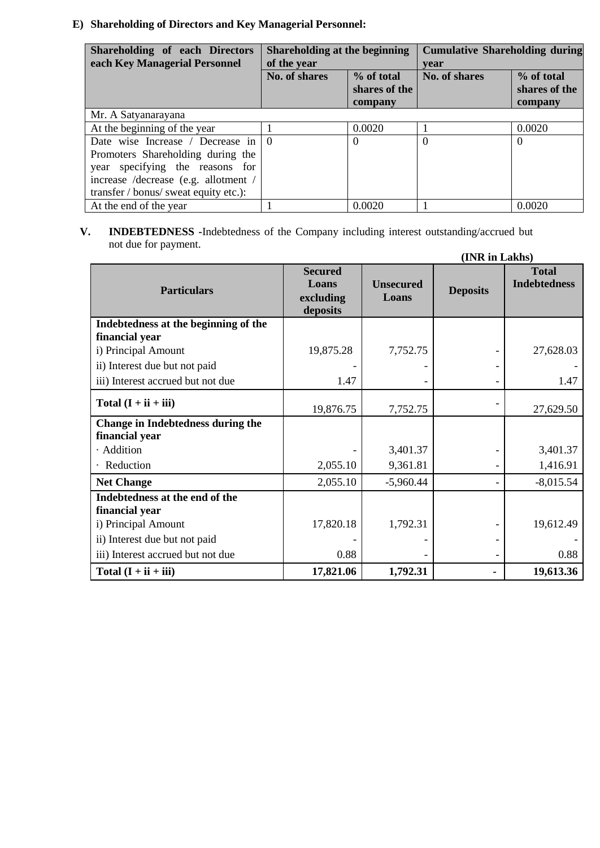# **E) Shareholding of Directors and Key Managerial Personnel:**

| Shareholding of each Directors<br>each Key Managerial Personnel | Shareholding at the beginning<br>of the year |                                           | <b>Cumulative Shareholding during</b><br>vear |                                        |
|-----------------------------------------------------------------|----------------------------------------------|-------------------------------------------|-----------------------------------------------|----------------------------------------|
|                                                                 | No. of shares                                | $\%$ of total<br>shares of the<br>company | No. of shares                                 | % of total<br>shares of the<br>company |
| Mr. A Satyanarayana                                             |                                              |                                           |                                               |                                        |
| At the beginning of the year                                    |                                              | 0.0020                                    |                                               | 0.0020                                 |
| Date wise Increase / Decrease in $\vert 0 \rangle$              |                                              | $\Omega$                                  | $\Omega$                                      | $\Omega$                               |
| Promoters Shareholding during the                               |                                              |                                           |                                               |                                        |
| year specifying the reasons for                                 |                                              |                                           |                                               |                                        |
| increase /decrease (e.g. allotment /                            |                                              |                                           |                                               |                                        |
| transfer / bonus/ sweat equity etc.):                           |                                              |                                           |                                               |                                        |
| At the end of the year                                          |                                              | 0.0020                                    |                                               | 0.0020                                 |

#### **V. INDEBTEDNESS -**Indebtedness of the Company including interest outstanding/accrued but not due for payment.  $(\mathbf{I} \mathbf{M} \mathbf{D} \cdot \mathbf{I} \mathbf{I} \mathbf{I})$

| (INR in Lakhs)                                   |                                                  |                           |                 |                                     |  |
|--------------------------------------------------|--------------------------------------------------|---------------------------|-----------------|-------------------------------------|--|
| <b>Particulars</b>                               | <b>Secured</b><br>Loans<br>excluding<br>deposits | <b>Unsecured</b><br>Loans | <b>Deposits</b> | <b>Total</b><br><b>Indebtedness</b> |  |
| Indebtedness at the beginning of the             |                                                  |                           |                 |                                     |  |
| financial year                                   |                                                  |                           |                 |                                     |  |
| i) Principal Amount                              | 19,875.28                                        | 7,752.75                  |                 | 27,628.03                           |  |
| ii) Interest due but not paid                    |                                                  |                           |                 |                                     |  |
| iii) Interest accrued but not due                | 1.47                                             |                           |                 | 1.47                                |  |
| Total $(I + ii + iii)$                           | 19,876.75                                        | 7,752.75                  |                 | 27,629.50                           |  |
| Change in Indebtedness during the                |                                                  |                           |                 |                                     |  |
| financial year                                   |                                                  |                           |                 |                                     |  |
| · Addition                                       |                                                  | 3,401.37                  |                 | 3,401.37                            |  |
| Reduction                                        | 2,055.10                                         | 9,361.81                  |                 | 1,416.91                            |  |
| <b>Net Change</b>                                | 2,055.10                                         | $-5,960.44$               |                 | $-8,015.54$                         |  |
| Indebtedness at the end of the<br>financial year |                                                  |                           |                 |                                     |  |
| i) Principal Amount                              | 17,820.18                                        | 1,792.31                  |                 | 19,612.49                           |  |
| ii) Interest due but not paid                    |                                                  |                           |                 |                                     |  |
| iii) Interest accrued but not due                | 0.88                                             |                           |                 | 0.88                                |  |
| Total $(I + ii + iii)$                           | 17,821.06                                        | 1,792.31                  | $\blacksquare$  | 19,613.36                           |  |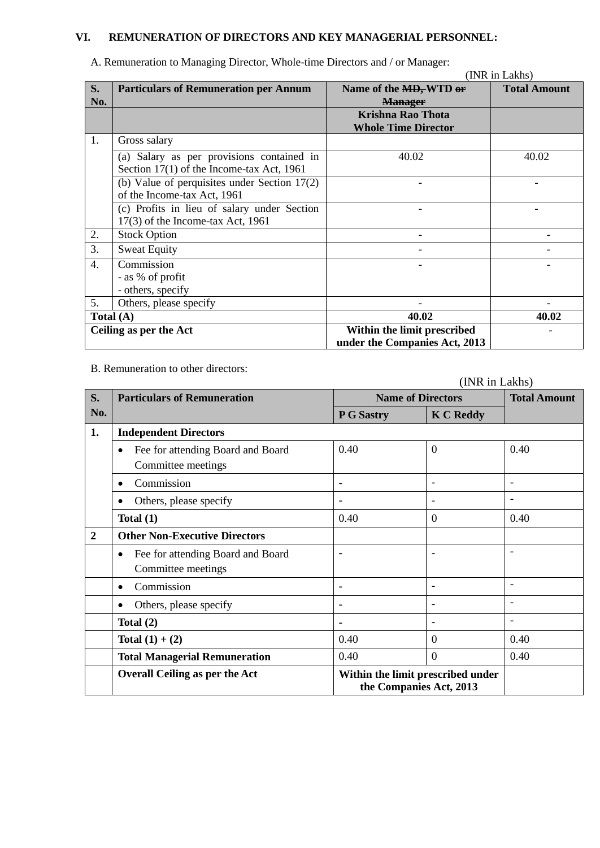# **VI. REMUNERATION OF DIRECTORS AND KEY MANAGERIAL PERSONNEL:**

|                  | n remembration to maintening Director, whole three Directors and the mainteger.        |                                                              | (INR in Lakhs)      |
|------------------|----------------------------------------------------------------------------------------|--------------------------------------------------------------|---------------------|
| S.<br>No.        | <b>Particulars of Remuneration per Annum</b>                                           | Name of the MD, WTD or<br><b>Manager</b>                     | <b>Total Amount</b> |
|                  |                                                                                        | <b>Krishna Rao Thota</b><br><b>Whole Time Director</b>       |                     |
| 1.               | Gross salary                                                                           |                                                              |                     |
|                  | (a) Salary as per provisions contained in<br>Section 17(1) of the Income-tax Act, 1961 | 40.02                                                        | 40.02               |
|                  | (b) Value of perquisites under Section $17(2)$<br>of the Income-tax Act, 1961          |                                                              |                     |
|                  | (c) Profits in lieu of salary under Section<br>$17(3)$ of the Income-tax Act, 1961     |                                                              |                     |
| 2.               | <b>Stock Option</b>                                                                    |                                                              |                     |
| 3.               | <b>Sweat Equity</b>                                                                    |                                                              |                     |
| $\overline{4}$ . | Commission<br>- as % of profit<br>- others, specify                                    |                                                              |                     |
| 5.               | Others, please specify                                                                 |                                                              |                     |
|                  | Total $(A)$                                                                            | 40.02                                                        | 40.02               |
|                  | Ceiling as per the Act                                                                 | Within the limit prescribed<br>under the Companies Act, 2013 |                     |

A. Remuneration to Managing Director, Whole-time Directors and / or Manager:

B. Remuneration to other directors:

|                |                                                                      | THAIN III LÀNIS) |                                                              |                          |  |  |
|----------------|----------------------------------------------------------------------|------------------|--------------------------------------------------------------|--------------------------|--|--|
| S.             | <b>Particulars of Remuneration</b>                                   |                  | <b>Name of Directors</b>                                     | <b>Total Amount</b>      |  |  |
| No.            |                                                                      | P G Sastry       | <b>K C Reddy</b>                                             |                          |  |  |
| 1.             | <b>Independent Directors</b>                                         |                  |                                                              |                          |  |  |
|                | Fee for attending Board and Board<br>٠<br>Committee meetings         | 0.40             | $\theta$                                                     | 0.40                     |  |  |
|                | Commission                                                           | ۰                | $\qquad \qquad \blacksquare$                                 | $\overline{\phantom{a}}$ |  |  |
|                | Others, please specify<br>$\bullet$                                  | ٠                | $\overline{\phantom{a}}$                                     | $\overline{\phantom{a}}$ |  |  |
|                | Total $(1)$                                                          | 0.40             | $\theta$                                                     | 0.40                     |  |  |
| $\overline{2}$ | <b>Other Non-Executive Directors</b>                                 |                  |                                                              |                          |  |  |
|                | Fee for attending Board and Board<br>$\bullet$<br>Committee meetings | ٠                | $\overline{\phantom{a}}$                                     | $\overline{\phantom{a}}$ |  |  |
|                | Commission<br>$\bullet$                                              | ٠                | $\overline{\phantom{a}}$                                     | $\overline{\phantom{a}}$ |  |  |
|                | Others, please specify<br>٠                                          | ٠                | $\overline{\phantom{a}}$                                     | ۰                        |  |  |
|                | Total $(2)$                                                          | ٠                | $\overline{\phantom{a}}$                                     | $\overline{\phantom{a}}$ |  |  |
|                | Total $(1) + (2)$                                                    | 0.40             | $\overline{0}$                                               | 0.40                     |  |  |
|                | <b>Total Managerial Remuneration</b>                                 | 0.40             | $\overline{0}$                                               | 0.40                     |  |  |
|                | <b>Overall Ceiling as per the Act</b>                                |                  | Within the limit prescribed under<br>the Companies Act, 2013 |                          |  |  |

(INR in Lakhs)